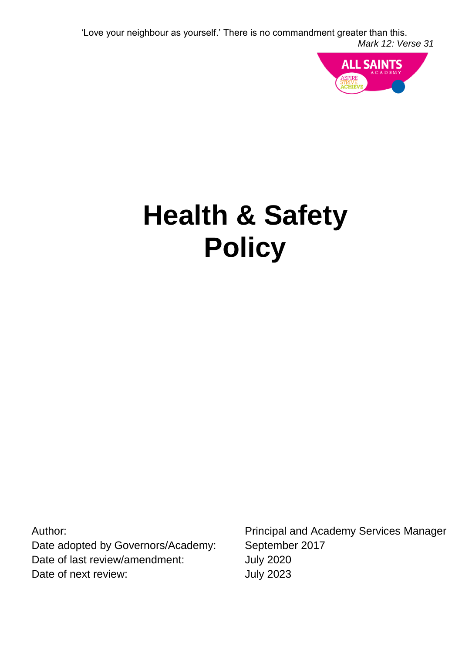

# **Health & Safety Policy**

Author: Date adopted by Governors/Academy: Date of last review/amendment: Date of next review:

Principal and Academy Services Manager September 2017 July 2020 July 2023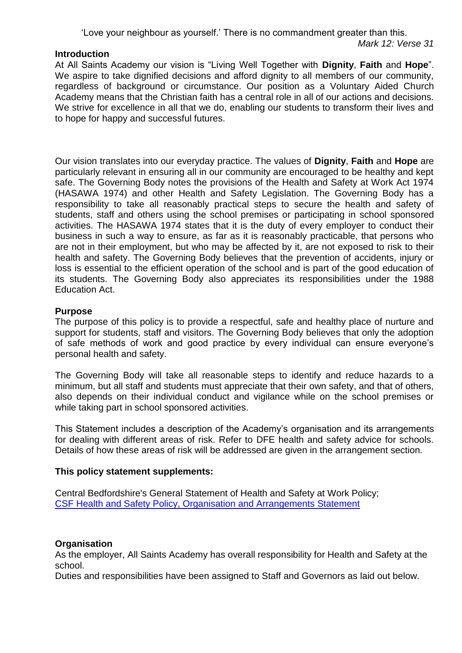#### **Introduction**

At All Saints Academy our vision is "Living Well Together with **Dignity**, **Faith** and **Hope**". We aspire to take dignified decisions and afford dignity to all members of our community, regardless of background or circumstance. Our position as a Voluntary Aided Church Academy means that the Christian faith has a central role in all of our actions and decisions. We strive for excellence in all that we do, enabling our students to transform their lives and to hope for happy and successful futures.

Our vision translates into our everyday practice. The values of **Dignity**, **Faith** and **Hope** are particularly relevant in ensuring all in our community are encouraged to be healthy and kept safe. The Governing Body notes the provisions of the Health and Safety at Work Act 1974 (HASAWA 1974) and other Health and Safety Legislation. The Governing Body has a responsibility to take all reasonably practical steps to secure the health and safety of students, staff and others using the school premises or participating in school sponsored activities. The HASAWA 1974 states that it is the duty of every employer to conduct their business in such a way to ensure, as far as it is reasonably practicable, that persons who are not in their employment, but who may be affected by it, are not exposed to risk to their health and safety. The Governing Body believes that the prevention of accidents, injury or loss is essential to the efficient operation of the school and is part of the good education of its students. The Governing Body also appreciates its responsibilities under the 1988 Education Act.

## **Purpose**

The purpose of this policy is to provide a respectful, safe and healthy place of nurture and support for students, staff and visitors. The Governing Body believes that only the adoption of safe methods of work and good practice by every individual can ensure everyone's personal health and safety.

The Governing Body will take all reasonable steps to identify and reduce hazards to a minimum, but all staff and students must appreciate that their own safety, and that of others, also depends on their individual conduct and vigilance while on the school premises or while taking part in school sponsored activities.

This Statement includes a description of the Academy's organisation and its arrangements for dealing with different areas of risk. Refer to DFE health and safety advice for schools. Details of how these areas of risk will be addressed are given in the arrangement section.

## **This policy statement supplements:**

Central Bedfordshire's General Statement of Health and Safety at Work Policy; [CSF Health and Safety Policy, Organisation and Arrangements Statement](http://www.centralbedfordshire.gov.uk/school/professionals/health-safety/day-care.aspx)

#### **Organisation**

As the employer, All Saints Academy has overall responsibility for Health and Safety at the school.

Duties and responsibilities have been assigned to Staff and Governors as laid out below.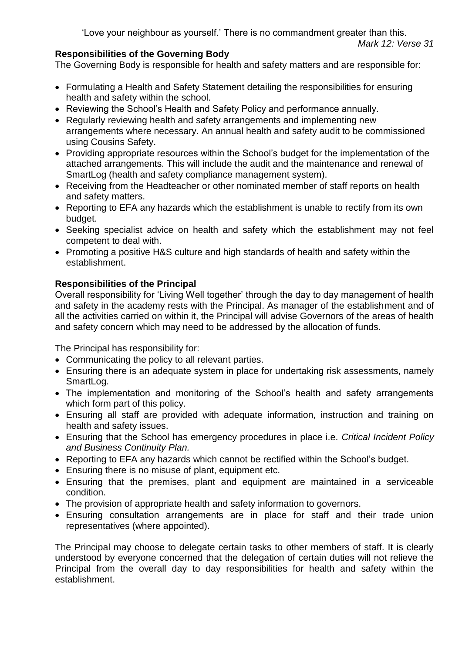# **Responsibilities of the Governing Body**

The Governing Body is responsible for health and safety matters and are responsible for:

- Formulating a Health and Safety Statement detailing the responsibilities for ensuring health and safety within the school.
- Reviewing the School's Health and Safety Policy and performance annually.
- Regularly reviewing health and safety arrangements and implementing new arrangements where necessary. An annual health and safety audit to be commissioned using Cousins Safety.
- Providing appropriate resources within the School's budget for the implementation of the attached arrangements. This will include the audit and the maintenance and renewal of SmartLog (health and safety compliance management system).
- Receiving from the Headteacher or other nominated member of staff reports on health and safety matters.
- Reporting to EFA any hazards which the establishment is unable to rectify from its own budget.
- Seeking specialist advice on health and safety which the establishment may not feel competent to deal with.
- Promoting a positive H&S culture and high standards of health and safety within the establishment.

# **Responsibilities of the Principal**

Overall responsibility for 'Living Well together' through the day to day management of health and safety in the academy rests with the Principal. As manager of the establishment and of all the activities carried on within it, the Principal will advise Governors of the areas of health and safety concern which may need to be addressed by the allocation of funds.

The Principal has responsibility for:

- Communicating the policy to all relevant parties.
- Ensuring there is an adequate system in place for undertaking risk assessments, namely SmartLog.
- The implementation and monitoring of the School's health and safety arrangements which form part of this policy.
- Ensuring all staff are provided with adequate information, instruction and training on health and safety issues.
- Ensuring that the School has emergency procedures in place i.e. *Critical Incident Policy and Business Continuity Plan.*
- Reporting to EFA any hazards which cannot be rectified within the School's budget.
- Ensuring there is no misuse of plant, equipment etc.
- Ensuring that the premises, plant and equipment are maintained in a serviceable condition.
- The provision of appropriate health and safety information to governors.
- Ensuring consultation arrangements are in place for staff and their trade union representatives (where appointed).

The Principal may choose to delegate certain tasks to other members of staff. It is clearly understood by everyone concerned that the delegation of certain duties will not relieve the Principal from the overall day to day responsibilities for health and safety within the establishment.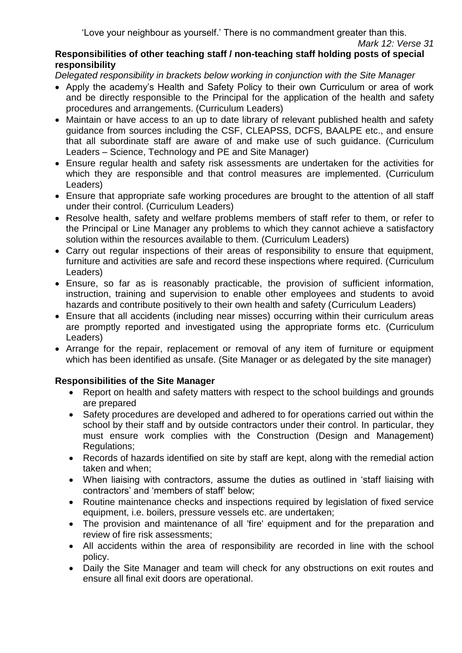# **Responsibilities of other teaching staff / non-teaching staff holding posts of special responsibility**

*Delegated responsibility in brackets below working in conjunction with the Site Manager* 

- Apply the academy's Health and Safety Policy to their own Curriculum or area of work and be directly responsible to the Principal for the application of the health and safety procedures and arrangements. (Curriculum Leaders)
- Maintain or have access to an up to date library of relevant published health and safety guidance from sources including the CSF, CLEAPSS, DCFS, BAALPE etc., and ensure that all subordinate staff are aware of and make use of such guidance. (Curriculum Leaders – Science, Technology and PE and Site Manager)
- Ensure regular health and safety risk assessments are undertaken for the activities for which they are responsible and that control measures are implemented. (Curriculum Leaders)
- Ensure that appropriate safe working procedures are brought to the attention of all staff under their control. (Curriculum Leaders)
- Resolve health, safety and welfare problems members of staff refer to them, or refer to the Principal or Line Manager any problems to which they cannot achieve a satisfactory solution within the resources available to them. (Curriculum Leaders)
- Carry out regular inspections of their areas of responsibility to ensure that equipment, furniture and activities are safe and record these inspections where required. (Curriculum Leaders)
- Ensure, so far as is reasonably practicable, the provision of sufficient information, instruction, training and supervision to enable other employees and students to avoid hazards and contribute positively to their own health and safety (Curriculum Leaders)
- Ensure that all accidents (including near misses) occurring within their curriculum areas are promptly reported and investigated using the appropriate forms etc. (Curriculum Leaders)
- Arrange for the repair, replacement or removal of any item of furniture or equipment which has been identified as unsafe. (Site Manager or as delegated by the site manager)

# **Responsibilities of the Site Manager**

- Report on health and safety matters with respect to the school buildings and grounds are prepared
- Safety procedures are developed and adhered to for operations carried out within the school by their staff and by outside contractors under their control. In particular, they must ensure work complies with the Construction (Design and Management) Regulations;
- Records of hazards identified on site by staff are kept, along with the remedial action taken and when;
- When liaising with contractors, assume the duties as outlined in 'staff liaising with contractors' and 'members of staff' below;
- Routine maintenance checks and inspections required by legislation of fixed service equipment, i.e. boilers, pressure vessels etc. are undertaken;
- The provision and maintenance of all 'fire' equipment and for the preparation and review of fire risk assessments;
- All accidents within the area of responsibility are recorded in line with the school policy.
- Daily the Site Manager and team will check for any obstructions on exit routes and ensure all final exit doors are operational.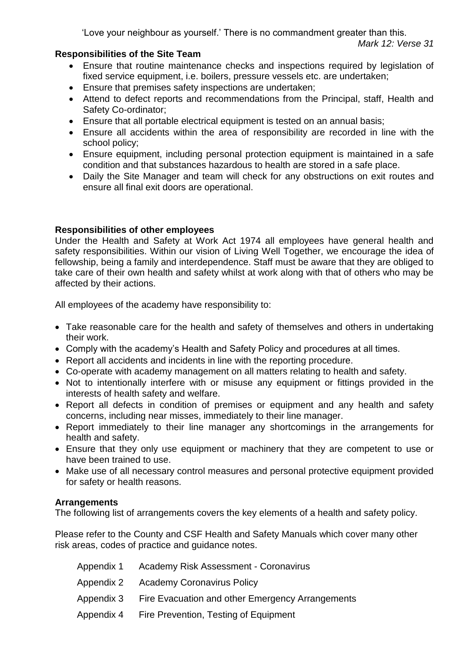# **Responsibilities of the Site Team**

- Ensure that routine maintenance checks and inspections required by legislation of fixed service equipment, i.e. boilers, pressure vessels etc. are undertaken;
- Ensure that premises safety inspections are undertaken;
- Attend to defect reports and recommendations from the Principal, staff, Health and Safety Co-ordinator;
- Ensure that all portable electrical equipment is tested on an annual basis;
- Ensure all accidents within the area of responsibility are recorded in line with the school policy;
- Ensure equipment, including personal protection equipment is maintained in a safe condition and that substances hazardous to health are stored in a safe place.
- Daily the Site Manager and team will check for any obstructions on exit routes and ensure all final exit doors are operational.

# **Responsibilities of other employees**

Under the Health and Safety at Work Act 1974 all employees have general health and safety responsibilities. Within our vision of Living Well Together, we encourage the idea of fellowship, being a family and interdependence. Staff must be aware that they are obliged to take care of their own health and safety whilst at work along with that of others who may be affected by their actions.

All employees of the academy have responsibility to:

- Take reasonable care for the health and safety of themselves and others in undertaking their work.
- Comply with the academy's Health and Safety Policy and procedures at all times.
- Report all accidents and incidents in line with the reporting procedure.
- Co-operate with academy management on all matters relating to health and safety.
- Not to intentionally interfere with or misuse any equipment or fittings provided in the interests of health safety and welfare.
- Report all defects in condition of premises or equipment and any health and safety concerns, including near misses, immediately to their line manager.
- Report immediately to their line manager any shortcomings in the arrangements for health and safety.
- Ensure that they only use equipment or machinery that they are competent to use or have been trained to use.
- Make use of all necessary control measures and personal protective equipment provided for safety or health reasons.

# **Arrangements**

The following list of arrangements covers the key elements of a health and safety policy.

Please refer to the County and CSF Health and Safety Manuals which cover many other risk areas, codes of practice and guidance notes.

| Appendix 1 Academy Risk Assessment - Coronavirus            |
|-------------------------------------------------------------|
| Appendix 2 Academy Coronavirus Policy                       |
| Appendix 3 Fire Evacuation and other Emergency Arrangements |
| Appendix 4 Fire Prevention, Testing of Equipment            |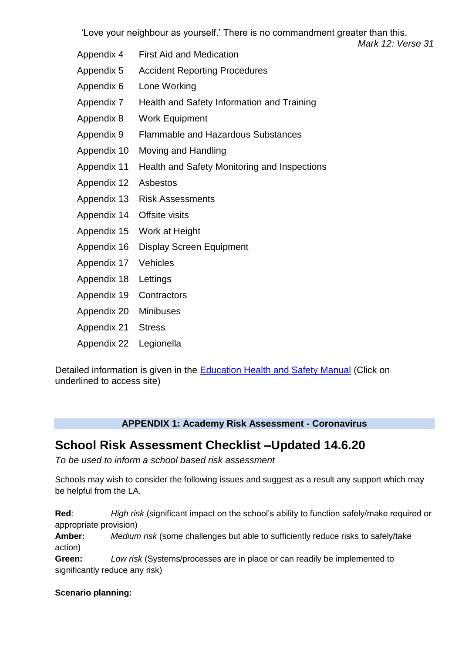*Mark 12: Verse 31*

- Appendix 4 First Aid and Medication
- Appendix 5 Accident Reporting Procedures
- Appendix 6 Lone Working
- Appendix 7 Health and Safety Information and Training
- Appendix 8 Work Equipment
- Appendix 9 Flammable and Hazardous Substances
- Appendix 10 Moving and Handling
- Appendix 11 Health and Safety Monitoring and Inspections
- Appendix 12 Asbestos
- Appendix 13 Risk Assessments
- Appendix 14 Offsite visits
- Appendix 15 Work at Height
- Appendix 16 Display Screen Equipment
- Appendix 17 Vehicles
- Appendix 18 Lettings
- Appendix 19 Contractors
- Appendix 20 Minibuses
- Appendix 21 Stress
- Appendix 22 Legionella

Detailed information is given in the [Education Health and Safety Manual](http://www.thegrid.org.uk/info/healthandsafety/manual.shtml) (Click on underlined to access site)

# **APPENDIX 1: Academy Risk Assessment - Coronavirus**

# **School Risk Assessment Checklist –Updated 14.6.20**

*To be used to inform a school based risk assessment*

Schools may wish to consider the following issues and suggest as a result any support which may be helpful from the LA.

**Red**: *High risk* (significant impact on the school's ability to function safely/make required or appropriate provision)

**Amber:** *Medium risk* (some challenges but able to sufficiently reduce risks to safely/take action)

**Green:** *Low risk* (Systems/processes are in place or can readily be implemented to significantly reduce any risk)

# **Scenario planning:**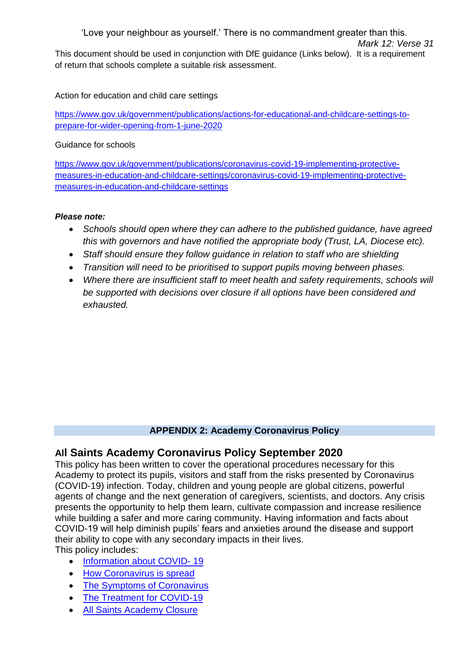'Love your neighbour as yourself.' There is no commandment greater than this. *Mark 12: Verse 31* This document should be used in conjunction with DfE guidance (Links below). It is a requirement of return that schools complete a suitable risk assessment.

Action for education and child care settings

[https://www.gov.uk/government/publications/actions-for-educational-and-childcare-settings-to](https://www.gov.uk/government/publications/actions-for-educational-and-childcare-settings-to-prepare-for-wider-opening-from-1-june-2020)[prepare-for-wider-opening-from-1-june-2020](https://www.gov.uk/government/publications/actions-for-educational-and-childcare-settings-to-prepare-for-wider-opening-from-1-june-2020)

Guidance for schools

[https://www.gov.uk/government/publications/coronavirus-covid-19-implementing-protective](https://www.gov.uk/government/publications/coronavirus-covid-19-implementing-protective-measures-in-education-and-childcare-settings/coronavirus-covid-19-implementing-protective-measures-in-education-and-childcare-settings)[measures-in-education-and-childcare-settings/coronavirus-covid-19-implementing-protective](https://www.gov.uk/government/publications/coronavirus-covid-19-implementing-protective-measures-in-education-and-childcare-settings/coronavirus-covid-19-implementing-protective-measures-in-education-and-childcare-settings)[measures-in-education-and-childcare-settings](https://www.gov.uk/government/publications/coronavirus-covid-19-implementing-protective-measures-in-education-and-childcare-settings/coronavirus-covid-19-implementing-protective-measures-in-education-and-childcare-settings)

## *Please note:*

- *Schools should open where they can adhere to the published guidance, have agreed this with governors and have notified the appropriate body (Trust, LA, Diocese etc).*
- *Staff should ensure they follow guidance in relation to staff who are shielding*
- *Transition will need to be prioritised to support pupils moving between phases.*
- *Where there are insufficient staff to meet health and safety requirements, schools will be supported with decisions over closure if all options have been considered and exhausted.*

# **APPENDIX 2: Academy Coronavirus Policy**

# **All Saints Academy Coronavirus Policy September 2020**

This policy has been written to cover the operational procedures necessary for this Academy to protect its pupils, visitors and staff from the risks presented by Coronavirus (COVID-19) infection. Today, children and young people are global citizens, powerful agents of change and the next generation of caregivers, scientists, and doctors. Any crisis presents the opportunity to help them learn, cultivate compassion and increase resilience while building a safer and more caring community. Having information and facts about COVID-19 will help diminish pupils' fears and anxieties around the disease and support their ability to cope with any secondary impacts in their lives.

This policy includes:

- [Information about COVID-](#page-7-0)19
- [How Coronavirus is spread](#page-7-1)
- [The Symptoms of Coronavirus](#page-7-2)
- [The Treatment for COVID-19](#page-7-3)
- [All Saints Academy Closure](#page-7-4)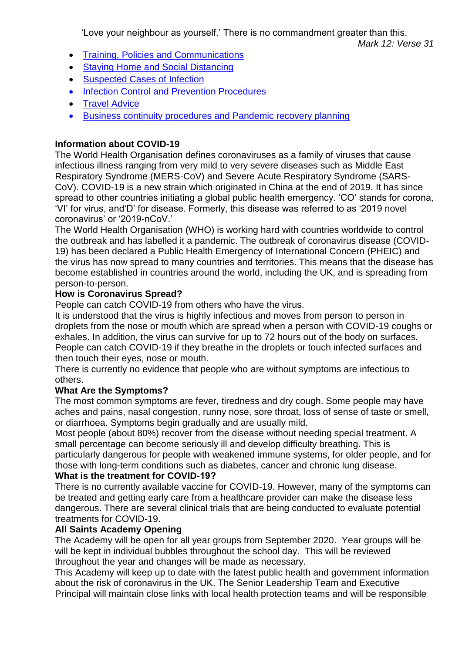- [Training, Policies and Communications](#page-8-0)
- Staving Home and Social Distancing
- **[Suspected Cases of Infection](#page-9-0)**
- [Infection Control and Prevention Procedures](#page-9-1)
- [Travel Advice](#page-11-0)
- [Business continuity procedures and Pandemic recovery planning](#page-11-1)

# <span id="page-7-0"></span>**Information about COVID-19**

The World Health Organisation defines coronaviruses as a family of viruses that cause infectious illness ranging from very mild to very severe diseases such as Middle East Respiratory Syndrome (MERS-CoV) and Severe Acute Respiratory Syndrome (SARS-CoV). COVID-19 is a new strain which originated in China at the end of 2019. It has since spread to other countries initiating a global public health emergency. 'CO' stands for corona, 'VI' for virus, and'D' for disease. Formerly, this disease was referred to as '2019 novel coronavirus' or '2019-nCoV.'

The World Health Organisation (WHO) is working hard with countries worldwide to control the outbreak and has labelled it a pandemic. The outbreak of coronavirus disease (COVID-19) has been declared a Public Health Emergency of International Concern (PHEIC) and the virus has now spread to many countries and territories. This means that the disease has become established in countries around the world, including the UK, and is spreading from person-to-person.

# <span id="page-7-1"></span>**How is Coronavirus Spread?**

People can catch COVID-19 from others who have the virus.

It is understood that the virus is highly infectious and moves from person to person in droplets from the nose or mouth which are spread when a person with COVID-19 coughs or exhales. In addition, the virus can survive for up to 72 hours out of the body on surfaces. People can catch COVID-19 if they breathe in the droplets or touch infected surfaces and then touch their eyes, nose or mouth.

There is currently no evidence that people who are without symptoms are infectious to others.

# <span id="page-7-2"></span>**What Are the Symptoms?**

The most common symptoms are fever, tiredness and dry cough. Some people may have aches and pains, nasal congestion, runny nose, sore throat, loss of sense of taste or smell, or diarrhoea. Symptoms begin gradually and are usually mild.

Most people (about 80%) recover from the disease without needing special treatment. A small percentage can become seriously ill and develop difficulty breathing. This is particularly dangerous for people with weakened immune systems, for older people, and for those with long-term conditions such as diabetes, cancer and chronic lung disease. **What is the treatment for COVID-19?**

## <span id="page-7-3"></span>There is no currently available vaccine for COVID-19. However, many of the symptoms can be treated and getting early care from a healthcare provider can make the disease less dangerous. There are several clinical trials that are being conducted to evaluate potential treatments for COVID-19.

# <span id="page-7-4"></span>**All Saints Academy Opening**

The Academy will be open for all year groups from September 2020. Year groups will be will be kept in individual bubbles throughout the school day. This will be reviewed throughout the year and changes will be made as necessary.

This Academy will keep up to date with the latest public health and government information about the risk of coronavirus in the UK. The Senior Leadership Team and Executive Principal will maintain close links with local health protection teams and will be responsible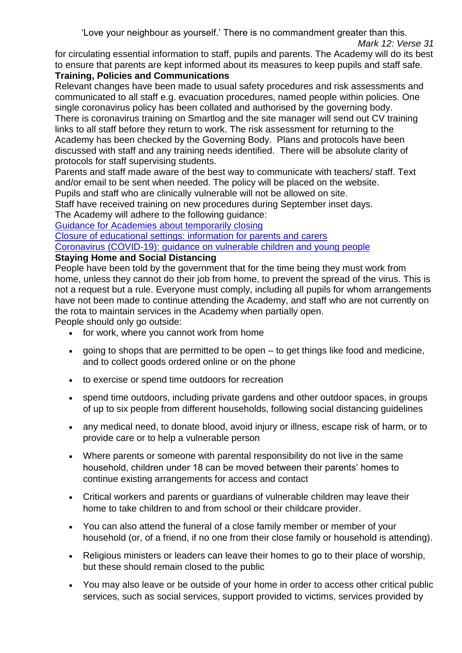for circulating essential information to staff, pupils and parents. The Academy will do its best to ensure that parents are kept informed about its measures to keep pupils and staff safe.

# <span id="page-8-0"></span>**Training, Policies and Communications**

Relevant changes have been made to usual safety procedures and risk assessments and communicated to all staff e.g. evacuation procedures, named people within policies. One single coronavirus policy has been collated and authorised by the governing body. There is coronavirus training on Smartlog and the site manager will send out CV training links to all staff before they return to work. The risk assessment for returning to the Academy has been checked by the Governing Body. Plans and protocols have been discussed with staff and any training needs identified. There will be absolute clarity of protocols for staff supervising students.

Parents and staff made aware of the best way to communicate with teachers/ staff. Text and/or email to be sent when needed. The policy will be placed on the website.

Pupils and staff who are clinically vulnerable will not be allowed on site.

Staff have received training on new procedures during September inset days.

The Academy will adhere to the following guidance:

[Guidance for Academies about temporarily closing](https://www.gov.uk/government/publications/covid-19-school-closures/guidance-for-schools-about-temporarily-closing)

[Closure of educational settings: information for parents and carers](https://www.gov.uk/government/publications/closure-of-educational-settings-information-for-parents-and-carers)

[Coronavirus \(COVID-19\): guidance on vulnerable children and young people](https://www.gov.uk/government/publications/coronavirus-covid-19-guidance-on-vulnerable-children-and-young-people/coronavirus-covid-19-guidance-on-vulnerable-children-and-young-people)

# <span id="page-8-1"></span>**Staying Home and Social Distancing**

People have been told by the government that for the time being they must work from home, unless they cannot do their job from home, to prevent the spread of the virus. This is not a request but a rule. Everyone must comply, including all pupils for whom arrangements have not been made to continue attending the Academy, and staff who are not currently on the rota to maintain services in the Academy when partially open.

People should only go outside:

- for work, where you cannot work from home
- going to shops that are permitted to be open to get things like food and medicine, and to collect goods ordered online or on the phone
- to exercise or spend time outdoors for recreation
- spend time outdoors, including private gardens and other outdoor spaces, in groups of up to six people from different households, following social distancing guidelines
- any medical need, to donate blood, avoid injury or illness, escape risk of harm, or to provide care or to help a vulnerable person
- Where parents or someone with parental responsibility do not live in the same household, children under 18 can be moved between their parents' homes to continue existing arrangements for access and contact
- Critical workers and parents or guardians of vulnerable children may leave their home to take children to and from school or their childcare provider.
- You can also attend the funeral of a close family member or member of your household (or, of a friend, if no one from their close family or household is attending).
- Religious ministers or leaders can leave their homes to go to their place of worship, but these should remain closed to the public
- You may also leave or be outside of your home in order to access other critical public services, such as social services, support provided to victims, services provided by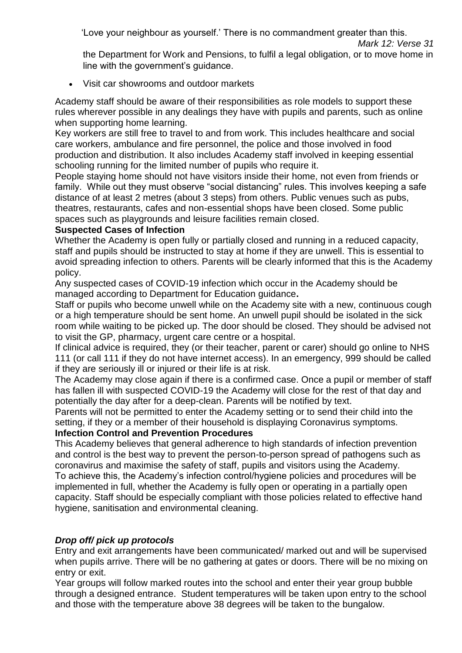the Department for Work and Pensions, to fulfil a legal obligation, or to move home in line with the government's guidance.

Visit car showrooms and outdoor markets

Academy staff should be aware of their responsibilities as role models to support these rules wherever possible in any dealings they have with pupils and parents, such as online when supporting home learning.

Key workers are still free to travel to and from work. This includes healthcare and social care workers, ambulance and fire personnel, the police and those involved in food production and distribution. It also includes Academy staff involved in keeping essential schooling running for the limited number of pupils who require it.

People staying home should not have visitors inside their home, not even from friends or family. While out they must observe "social distancing" rules. This involves keeping a safe distance of at least 2 metres (about 3 steps) from others. Public venues such as pubs, theatres, restaurants, cafes and non-essential shops have been closed. Some public spaces such as playgrounds and leisure facilities remain closed.

# <span id="page-9-0"></span>**Suspected Cases of Infection**

Whether the Academy is open fully or partially closed and running in a reduced capacity, staff and pupils should be instructed to stay at home if they are unwell. This is essential to avoid spreading infection to others. Parents will be clearly informed that this is the Academy policy.

Any suspected cases of COVID-19 infection which occur in the Academy should be managed according to Department for Education guidance**.** 

Staff or pupils who become unwell while on the Academy site with a new, continuous cough or a high temperature should be sent home. An unwell pupil should be isolated in the sick room while waiting to be picked up. The door should be closed. They should be advised not to visit the GP, pharmacy, urgent care centre or a hospital.

If clinical advice is required, they (or their teacher, parent or carer) should go online to NHS 111 (or call 111 if they do not have internet access). In an emergency, 999 should be called if they are seriously ill or injured or their life is at risk.

The Academy may close again if there is a confirmed case. Once a pupil or member of staff has fallen ill with suspected COVID-19 the Academy will close for the rest of that day and potentially the day after for a deep-clean. Parents will be notified by text.

Parents will not be permitted to enter the Academy setting or to send their child into the setting, if they or a member of their household is displaying Coronavirus symptoms.

# <span id="page-9-1"></span>**Infection Control and Prevention Procedures**

This Academy believes that general adherence to high standards of infection prevention and control is the best way to prevent the person-to-person spread of pathogens such as coronavirus and maximise the safety of staff, pupils and visitors using the Academy. To achieve this, the Academy's infection control/hygiene policies and procedures will be implemented in full, whether the Academy is fully open or operating in a partially open capacity. Staff should be especially compliant with those policies related to effective hand hygiene, sanitisation and environmental cleaning.

# *Drop off/ pick up protocols*

Entry and exit arrangements have been communicated/ marked out and will be supervised when pupils arrive. There will be no gathering at gates or doors. There will be no mixing on entry or exit.

Year groups will follow marked routes into the school and enter their year group bubble through a designed entrance. Student temperatures will be taken upon entry to the school and those with the temperature above 38 degrees will be taken to the bungalow.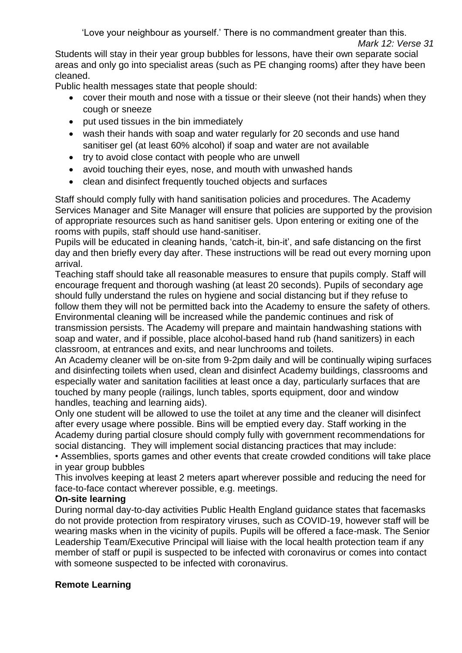Students will stay in their year group bubbles for lessons, have their own separate social areas and only go into specialist areas (such as PE changing rooms) after they have been cleaned.

Public health messages state that people should:

- cover their mouth and nose with a tissue or their sleeve (not their hands) when they cough or sneeze
- put used tissues in the bin immediately
- wash their hands with soap and water regularly for 20 seconds and use hand sanitiser gel (at least 60% alcohol) if soap and water are not available
- try to avoid close contact with people who are unwell
- avoid touching their eyes, nose, and mouth with unwashed hands
- clean and disinfect frequently touched objects and surfaces

Staff should comply fully with hand sanitisation policies and procedures. The Academy Services Manager and Site Manager will ensure that policies are supported by the provision of appropriate resources such as hand sanitiser gels. Upon entering or exiting one of the rooms with pupils, staff should use hand-sanitiser.

Pupils will be educated in cleaning hands, 'catch-it, bin-it', and safe distancing on the first day and then briefly every day after. These instructions will be read out every morning upon arrival.

Teaching staff should take all reasonable measures to ensure that pupils comply. Staff will encourage frequent and thorough washing (at least 20 seconds). Pupils of secondary age should fully understand the rules on hygiene and social distancing but if they refuse to follow them they will not be permitted back into the Academy to ensure the safety of others. Environmental cleaning will be increased while the pandemic continues and risk of transmission persists. The Academy will prepare and maintain handwashing stations with soap and water, and if possible, place alcohol-based hand rub (hand sanitizers) in each classroom, at entrances and exits, and near lunchrooms and toilets.

An Academy cleaner will be on-site from 9-2pm daily and will be continually wiping surfaces and disinfecting toilets when used, clean and disinfect Academy buildings, classrooms and especially water and sanitation facilities at least once a day, particularly surfaces that are touched by many people (railings, lunch tables, sports equipment, door and window handles, teaching and learning aids).

Only one student will be allowed to use the toilet at any time and the cleaner will disinfect after every usage where possible. Bins will be emptied every day. Staff working in the Academy during partial closure should comply fully with government recommendations for social distancing. They will implement social distancing practices that may include:

• Assemblies, sports games and other events that create crowded conditions will take place in year group bubbles

This involves keeping at least 2 meters apart wherever possible and reducing the need for face-to-face contact wherever possible, e.g. meetings.

# **On-site learning**

During normal day-to-day activities Public Health England guidance states that facemasks do not provide protection from respiratory viruses, such as COVID-19, however staff will be wearing masks when in the vicinity of pupils. Pupils will be offered a face-mask. The Senior Leadership Team/Executive Principal will liaise with the local health protection team if any member of staff or pupil is suspected to be infected with coronavirus or comes into contact with someone suspected to be infected with coronavirus.

# **Remote Learning**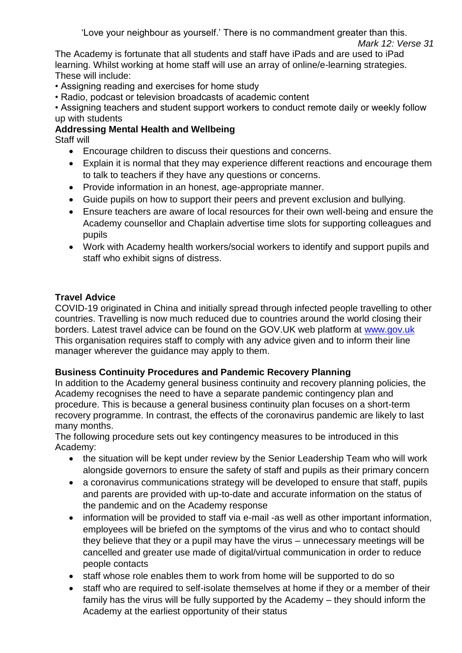The Academy is fortunate that all students and staff have iPads and are used to iPad learning. Whilst working at home staff will use an array of online/e-learning strategies. These will include:

- Assigning reading and exercises for home study
- Radio, podcast or television broadcasts of academic content

• Assigning teachers and student support workers to conduct remote daily or weekly follow up with students

# **Addressing Mental Health and Wellbeing**

Staff will

- Encourage children to discuss their questions and concerns.
- Explain it is normal that they may experience different reactions and encourage them to talk to teachers if they have any questions or concerns.
- Provide information in an honest, age-appropriate manner.
- Guide pupils on how to support their peers and prevent exclusion and bullying.
- Ensure teachers are aware of local resources for their own well-being and ensure the Academy counsellor and Chaplain advertise time slots for supporting colleagues and pupils
- Work with Academy health workers/social workers to identify and support pupils and staff who exhibit signs of distress.

# <span id="page-11-0"></span>**Travel Advice**

COVID-19 originated in China and initially spread through infected people travelling to other countries. Travelling is now much reduced due to countries around the world closing their borders. Latest travel advice can be found on the GOV.UK web platform at [www.gov.uk](http://www.gov.uk/guidance/wuhan-novel-coronavirus-information-for-the-public#information-about-the-virus) This organisation requires staff to comply with any advice given and to inform their line manager wherever the guidance may apply to them.

# <span id="page-11-1"></span>**Business Continuity Procedures and Pandemic Recovery Planning**

In addition to the Academy general business continuity and recovery planning policies, the Academy recognises the need to have a separate pandemic contingency plan and procedure. This is because a general business continuity plan focuses on a short-term recovery programme. In contrast, the effects of the coronavirus pandemic are likely to last many months.

The following procedure sets out key contingency measures to be introduced in this Academy:

- the situation will be kept under review by the Senior Leadership Team who will work alongside governors to ensure the safety of staff and pupils as their primary concern
- a coronavirus communications strategy will be developed to ensure that staff, pupils and parents are provided with up-to-date and accurate information on the status of the pandemic and on the Academy response
- information will be provided to staff via e-mail -as well as other important information, employees will be briefed on the symptoms of the virus and who to contact should they believe that they or a pupil may have the virus – unnecessary meetings will be cancelled and greater use made of digital/virtual communication in order to reduce people contacts
- staff whose role enables them to work from home will be supported to do so
- staff who are required to self-isolate themselves at home if they or a member of their family has the virus will be fully supported by the Academy – they should inform the Academy at the earliest opportunity of their status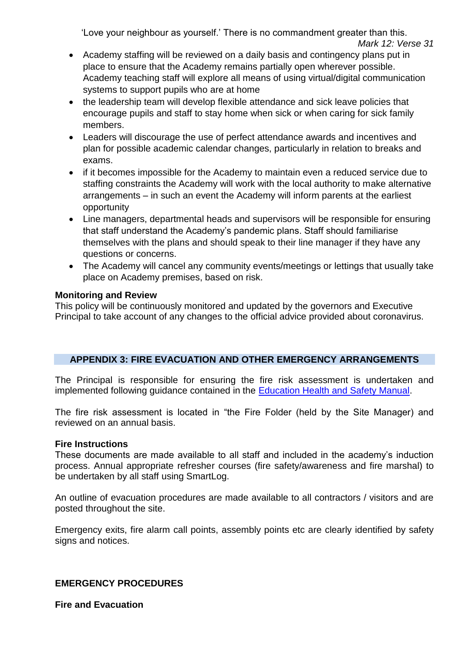- *Mark 12: Verse 31*
- Academy staffing will be reviewed on a daily basis and contingency plans put in place to ensure that the Academy remains partially open wherever possible. Academy teaching staff will explore all means of using virtual/digital communication systems to support pupils who are at home
- the leadership team will develop flexible attendance and sick leave policies that encourage pupils and staff to stay home when sick or when caring for sick family members.
- Leaders will discourage the use of perfect attendance awards and incentives and plan for possible academic calendar changes, particularly in relation to breaks and exams.
- if it becomes impossible for the Academy to maintain even a reduced service due to staffing constraints the Academy will work with the local authority to make alternative arrangements – in such an event the Academy will inform parents at the earliest opportunity
- Line managers, departmental heads and supervisors will be responsible for ensuring that staff understand the Academy's pandemic plans. Staff should familiarise themselves with the plans and should speak to their line manager if they have any questions or concerns.
- The Academy will cancel any community events/meetings or lettings that usually take place on Academy premises, based on risk.

## **Monitoring and Review**

This policy will be continuously monitored and updated by the governors and Executive Principal to take account of any changes to the official advice provided about coronavirus.

## **APPENDIX 3: FIRE EVACUATION AND OTHER EMERGENCY ARRANGEMENTS**

The Principal is responsible for ensuring the fire risk assessment is undertaken and implemented following guidance contained in the [Education Health and Safety Manual.](http://www.thegrid.org.uk/info/healthandsafety/manual.shtml#B)

The fire risk assessment is located in "the Fire Folder (held by the Site Manager) and reviewed on an annual basis.

#### **Fire Instructions**

These documents are made available to all staff and included in the academy's induction process. Annual appropriate refresher courses (fire safety/awareness and fire marshal) to be undertaken by all staff using SmartLog.

An outline of evacuation procedures are made available to all contractors / visitors and are posted throughout the site.

Emergency exits, fire alarm call points, assembly points etc are clearly identified by safety signs and notices.

## **EMERGENCY PROCEDURES**

**Fire and Evacuation**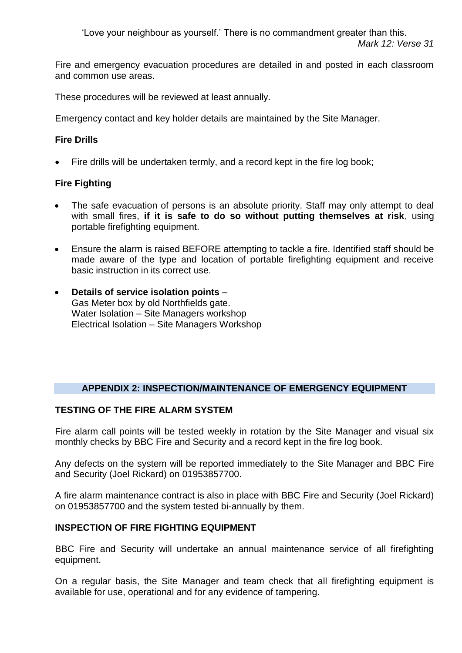Fire and emergency evacuation procedures are detailed in and posted in each classroom and common use areas.

These procedures will be reviewed at least annually.

Emergency contact and key holder details are maintained by the Site Manager.

## **Fire Drills**

Fire drills will be undertaken termly, and a record kept in the fire log book;

# **Fire Fighting**

- The safe evacuation of persons is an absolute priority. Staff may only attempt to deal with small fires, **if it is safe to do so without putting themselves at risk**, using portable firefighting equipment.
- Ensure the alarm is raised BEFORE attempting to tackle a fire. Identified staff should be made aware of the type and location of portable firefighting equipment and receive basic instruction in its correct use.
- **Details of service isolation points**  Gas Meter box by old Northfields gate. Water Isolation – Site Managers workshop Electrical Isolation – Site Managers Workshop

# **APPENDIX 2: INSPECTION/MAINTENANCE OF EMERGENCY EQUIPMENT**

## **TESTING OF THE FIRE ALARM SYSTEM**

Fire alarm call points will be tested weekly in rotation by the Site Manager and visual six monthly checks by BBC Fire and Security and a record kept in the fire log book.

Any defects on the system will be reported immediately to the Site Manager and BBC Fire and Security (Joel Rickard) on 01953857700.

A fire alarm maintenance contract is also in place with BBC Fire and Security (Joel Rickard) on 01953857700 and the system tested bi-annually by them.

# **INSPECTION OF FIRE FIGHTING EQUIPMENT**

BBC Fire and Security will undertake an annual maintenance service of all firefighting equipment.

On a regular basis, the Site Manager and team check that all firefighting equipment is available for use, operational and for any evidence of tampering.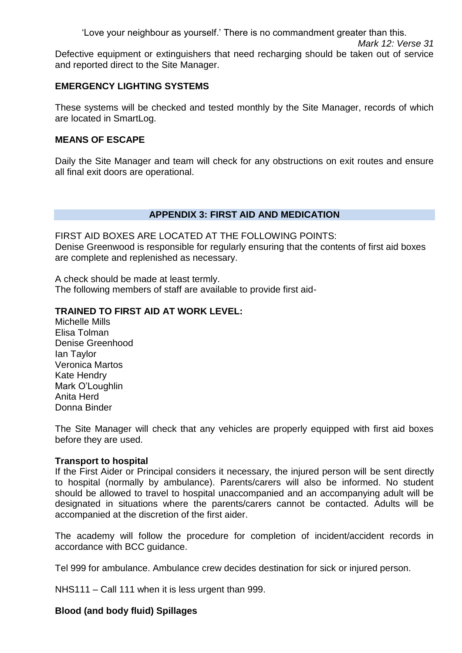Defective equipment or extinguishers that need recharging should be taken out of service and reported direct to the Site Manager.

# **EMERGENCY LIGHTING SYSTEMS**

These systems will be checked and tested monthly by the Site Manager, records of which are located in SmartLog.

# **MEANS OF ESCAPE**

Daily the Site Manager and team will check for any obstructions on exit routes and ensure all final exit doors are operational.

# **APPENDIX 3: FIRST AID AND MEDICATION**

FIRST AID BOXES ARE LOCATED AT THE FOLLOWING POINTS: Denise Greenwood is responsible for regularly ensuring that the contents of first aid boxes are complete and replenished as necessary.

A check should be made at least termly. The following members of staff are available to provide first aid-

# **TRAINED TO FIRST AID AT WORK LEVEL:**

Michelle Mills Elisa Tolman Denise Greenhood Ian Taylor Veronica Martos Kate Hendry Mark O'Loughlin Anita Herd Donna Binder

The Site Manager will check that any vehicles are properly equipped with first aid boxes before they are used.

# **Transport to hospital**

If the First Aider or Principal considers it necessary, the injured person will be sent directly to hospital (normally by ambulance). Parents/carers will also be informed. No student should be allowed to travel to hospital unaccompanied and an accompanying adult will be designated in situations where the parents/carers cannot be contacted. Adults will be accompanied at the discretion of the first aider.

The academy will follow the procedure for completion of incident/accident records in accordance with BCC guidance.

Tel 999 for ambulance. Ambulance crew decides destination for sick or injured person.

NHS111 – Call 111 when it is less urgent than 999.

# **Blood (and body fluid) Spillages**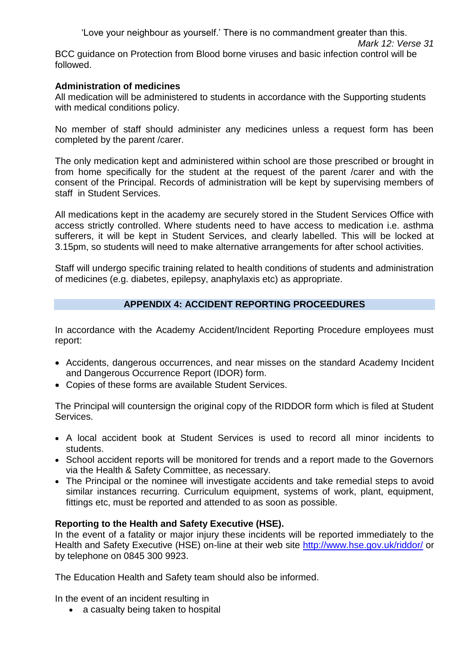BCC guidance on Protection from Blood borne viruses and basic infection control will be followed.

## **Administration of medicines**

All medication will be administered to students in accordance with the Supporting students with medical conditions policy.

No member of staff should administer any medicines unless a request form has been completed by the parent /carer.

The only medication kept and administered within school are those prescribed or brought in from home specifically for the student at the request of the parent /carer and with the consent of the Principal. Records of administration will be kept by supervising members of staff in Student Services.

All medications kept in the academy are securely stored in the Student Services Office with access strictly controlled. Where students need to have access to medication i.e. asthma sufferers, it will be kept in Student Services*,* and clearly labelled. This will be locked at 3.15pm, so students will need to make alternative arrangements for after school activities.

Staff will undergo specific training related to health conditions of students and administration of medicines (e.g. diabetes, epilepsy, anaphylaxis etc) as appropriate.

# **APPENDIX 4: ACCIDENT REPORTING PROCEEDURES**

In accordance with the Academy Accident/Incident Reporting Procedure employees must report:

- Accidents, dangerous occurrences, and near misses on the standard Academy Incident and Dangerous Occurrence Report (IDOR) form.
- Copies of these forms are available Student Services.

The Principal will countersign the original copy of the RIDDOR form which is filed at Student Services.

- A local accident book at Student Services is used to record all minor incidents to students.
- School accident reports will be monitored for trends and a report made to the Governors via the Health & Safety Committee, as necessary.
- The Principal or the nominee will investigate accidents and take remedial steps to avoid similar instances recurring. Curriculum equipment, systems of work, plant, equipment, fittings etc, must be reported and attended to as soon as possible.

# **Reporting to the Health and Safety Executive (HSE).**

In the event of a fatality or major injury these incidents will be reported immediately to the Health and Safety Executive (HSE) on-line at their web site<http://www.hse.gov.uk/riddor/> or by telephone on 0845 300 9923.

The Education Health and Safety team should also be informed.

In the event of an incident resulting in

• a casualty being taken to hospital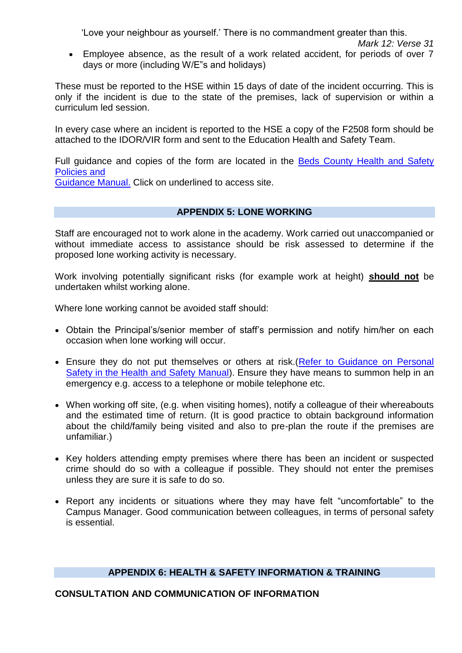Employee absence, as the result of a work related accident, for periods of over 7 days or more (including W/E"s and holidays)

These must be reported to the HSE within 15 days of date of the incident occurring. This is only if the incident is due to the state of the premises, lack of supervision or within a curriculum led session.

In every case where an incident is reported to the HSE a copy of the F2508 form should be attached to the IDOR/VIR form and sent to the Education Health and Safety Team.

Full guidance and copies of the form are located in the Beds County Health and Safety [Policies and](http://www.thegrid.org.uk/info/healthandsafety/manual.shtml#B) 

[Guidance Manual.](http://www.thegrid.org.uk/info/healthandsafety/manual.shtml#B) Click on underlined to access site.

## **APPENDIX 5: LONE WORKING**

Staff are encouraged not to work alone in the academy. Work carried out unaccompanied or without immediate access to assistance should be risk assessed to determine if the proposed lone working activity is necessary.

Work involving potentially significant risks (for example work at height) **should not** be undertaken whilst working alone.

Where lone working cannot be avoided staff should:

- Obtain the Principal's/senior member of staff's permission and notify him/her on each occasion when lone working will occur.
- Ensure they do not put themselves or others at risk. (Refer to Guidance on Personal [Safety in the Health and Safety Manual\)](http://www.thegrid.org.uk/info/healthandsafety/manual.shtml#B). Ensure they have means to summon help in an emergency e.g. access to a telephone or mobile telephone etc.
- When working off site, (e.g. when visiting homes), notify a colleague of their whereabouts and the estimated time of return. (It is good practice to obtain background information about the child/family being visited and also to pre-plan the route if the premises are unfamiliar.)
- Key holders attending empty premises where there has been an incident or suspected crime should do so with a colleague if possible. They should not enter the premises unless they are sure it is safe to do so.
- Report any incidents or situations where they may have felt "uncomfortable" to the Campus Manager. Good communication between colleagues, in terms of personal safety is essential.

## **APPENDIX 6: HEALTH & SAFETY INFORMATION & TRAINING**

## **CONSULTATION AND COMMUNICATION OF INFORMATION**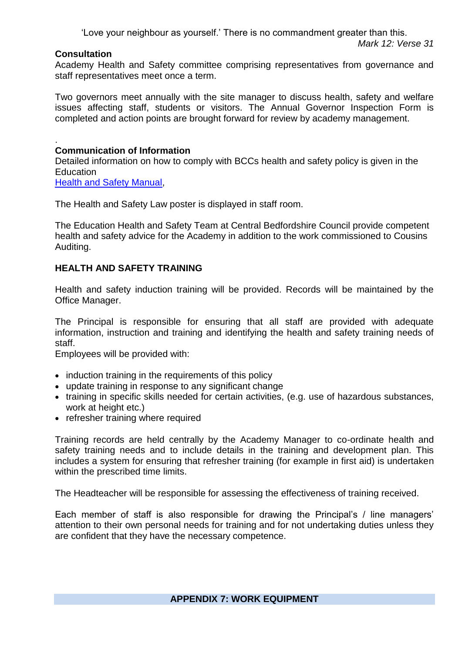#### **Consultation**

Academy Health and Safety committee comprising representatives from governance and staff representatives meet once a term.

Two governors meet annually with the site manager to discuss health, safety and welfare issues affecting staff, students or visitors. The Annual Governor Inspection Form is completed and action points are brought forward for review by academy management.

#### . **Communication of Information**

Detailed information on how to comply with BCCs health and safety policy is given in the **Education** 

[Health and Safety Manual,](https://www.bedford.gov.uk/business/tenders_and_contracts/health_and_safety_at_work.aspx)

The Health and Safety Law poster is displayed in staff room.

The Education Health and Safety Team at Central Bedfordshire Council provide competent health and safety advice for the Academy in addition to the work commissioned to Cousins Auditing.

# **HEALTH AND SAFETY TRAINING**

Health and safety induction training will be provided. Records will be maintained by the Office Manager.

The Principal is responsible for ensuring that all staff are provided with adequate information, instruction and training and identifying the health and safety training needs of staff.

Employees will be provided with:

- induction training in the requirements of this policy
- update training in response to any significant change
- training in specific skills needed for certain activities, (e.g. use of hazardous substances, work at height etc.)
- refresher training where required

Training records are held centrally by the Academy Manager to co-ordinate health and safety training needs and to include details in the training and development plan. This includes a system for ensuring that refresher training (for example in first aid) is undertaken within the prescribed time limits.

The Headteacher will be responsible for assessing the effectiveness of training received.

Each member of staff is also responsible for drawing the Principal's / line managers' attention to their own personal needs for training and for not undertaking duties unless they are confident that they have the necessary competence.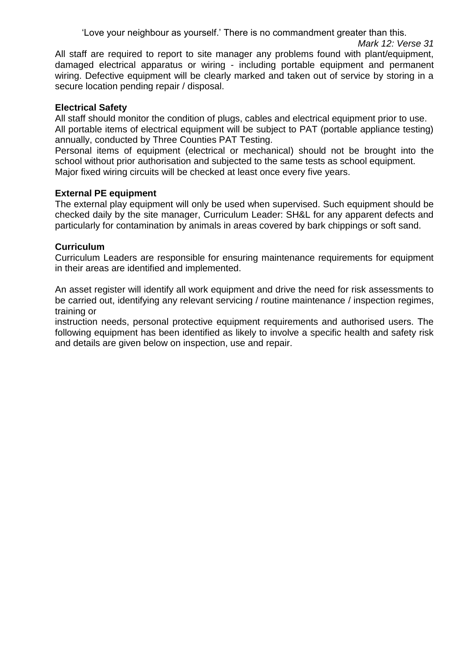All staff are required to report to site manager any problems found with plant/equipment, damaged electrical apparatus or wiring - including portable equipment and permanent wiring. Defective equipment will be clearly marked and taken out of service by storing in a secure location pending repair / disposal.

## **Electrical Safety**

All staff should monitor the condition of plugs, cables and electrical equipment prior to use. All portable items of electrical equipment will be subject to PAT (portable appliance testing) annually, conducted by Three Counties PAT Testing.

Personal items of equipment (electrical or mechanical) should not be brought into the school without prior authorisation and subjected to the same tests as school equipment. Major fixed wiring circuits will be checked at least once every five years.

## **External PE equipment**

The external play equipment will only be used when supervised. Such equipment should be checked daily by the site manager, Curriculum Leader: SH&L for any apparent defects and particularly for contamination by animals in areas covered by bark chippings or soft sand.

## **Curriculum**

Curriculum Leaders are responsible for ensuring maintenance requirements for equipment in their areas are identified and implemented.

An asset register will identify all work equipment and drive the need for risk assessments to be carried out, identifying any relevant servicing / routine maintenance / inspection regimes, training or

instruction needs, personal protective equipment requirements and authorised users. The following equipment has been identified as likely to involve a specific health and safety risk and details are given below on inspection, use and repair.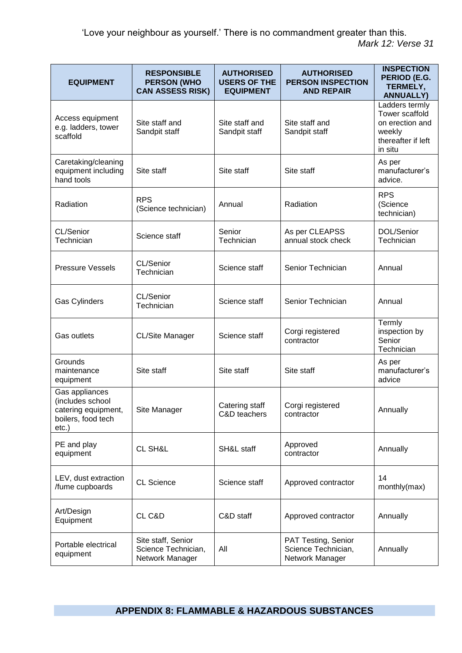| <b>EQUIPMENT</b>                                                                         | <b>RESPONSIBLE</b><br><b>PERSON (WHO</b><br><b>CAN ASSESS RISK)</b> | <b>AUTHORISED</b><br><b>USERS OF THE</b><br><b>EQUIPMENT</b> | <b>AUTHORISED</b><br><b>PERSON INSPECTION</b><br><b>AND REPAIR</b> | <b>INSPECTION</b><br>PERIOD (E.G.<br>TERMELY,<br><b>ANNUALLY)</b>                              |
|------------------------------------------------------------------------------------------|---------------------------------------------------------------------|--------------------------------------------------------------|--------------------------------------------------------------------|------------------------------------------------------------------------------------------------|
| Access equipment<br>e.g. ladders, tower<br>scaffold                                      | Site staff and<br>Sandpit staff                                     | Site staff and<br>Sandpit staff                              | Site staff and<br>Sandpit staff                                    | Ladders termly<br>Tower scaffold<br>on erection and<br>weekly<br>thereafter if left<br>in situ |
| Caretaking/cleaning<br>equipment including<br>hand tools                                 | Site staff                                                          | Site staff                                                   | Site staff                                                         | As per<br>manufacturer's<br>advice.                                                            |
| Radiation                                                                                | <b>RPS</b><br>(Science technician)                                  | Annual                                                       | Radiation                                                          | <b>RPS</b><br>(Science<br>technician)                                                          |
| CL/Senior<br>Technician                                                                  | Science staff                                                       | Senior<br>Technician                                         | As per CLEAPSS<br>annual stock check                               | DOL/Senior<br>Technician                                                                       |
| <b>Pressure Vessels</b>                                                                  | CL/Senior<br>Technician                                             | Science staff                                                | Senior Technician                                                  | Annual                                                                                         |
| Gas Cylinders                                                                            | CL/Senior<br>Technician                                             | Science staff                                                | Senior Technician                                                  | Annual                                                                                         |
| Gas outlets                                                                              | CL/Site Manager                                                     | Science staff                                                | Corgi registered<br>contractor                                     | Termly<br>inspection by<br>Senior<br>Technician                                                |
| Grounds<br>maintenance<br>equipment                                                      | Site staff                                                          | Site staff                                                   | Site staff                                                         | As per<br>manufacturer's<br>advice                                                             |
| Gas appliances<br>(includes school<br>catering equipment,<br>boilers, food tech<br>etc.) | Site Manager                                                        | Catering staff<br>C&D teachers                               | Corgi registered<br>contractor                                     | Annually                                                                                       |
| PE and play<br>equipment                                                                 | CL SH&L                                                             | SH&L staff                                                   | Approved<br>contractor                                             | Annually                                                                                       |
| LEV, dust extraction<br>/fume cupboards                                                  | <b>CL Science</b>                                                   | Science staff                                                | Approved contractor                                                | 14<br>monthly(max)                                                                             |
| Art/Design<br>Equipment                                                                  | CL C&D                                                              | C&D staff                                                    | Approved contractor                                                | Annually                                                                                       |
| Portable electrical<br>equipment                                                         | Site staff, Senior<br>Science Technician,<br>Network Manager        | All                                                          | PAT Testing, Senior<br>Science Technician,<br>Network Manager      | Annually                                                                                       |

# **APPENDIX 8: FLAMMABLE & HAZARDOUS SUBSTANCES**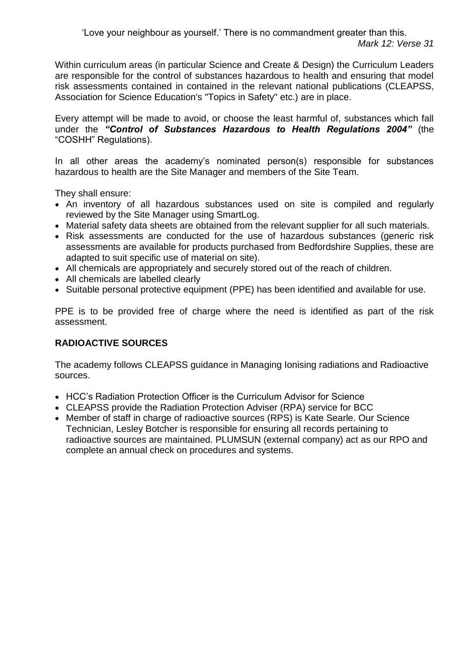Within curriculum areas (in particular Science and Create & Design) the Curriculum Leaders are responsible for the control of substances hazardous to health and ensuring that model risk assessments contained in contained in the relevant national publications (CLEAPSS, Association for Science Education's "Topics in Safety" etc.) are in place.

Every attempt will be made to avoid, or choose the least harmful of, substances which fall under the *"Control of Substances Hazardous to Health Regulations 2004"* (the "COSHH" Regulations).

In all other areas the academy's nominated person(s) responsible for substances hazardous to health are the Site Manager and members of the Site Team.

They shall ensure:

- An inventory of all hazardous substances used on site is compiled and regularly reviewed by the Site Manager using SmartLog.
- Material safety data sheets are obtained from the relevant supplier for all such materials.
- Risk assessments are conducted for the use of hazardous substances (generic risk assessments are available for products purchased from Bedfordshire Supplies, these are adapted to suit specific use of material on site).
- All chemicals are appropriately and securely stored out of the reach of children.
- All chemicals are labelled clearly
- Suitable personal protective equipment (PPE) has been identified and available for use.

PPE is to be provided free of charge where the need is identified as part of the risk assessment.

# **RADIOACTIVE SOURCES**

The academy follows CLEAPSS guidance in Managing Ionising radiations and Radioactive sources.

- HCC's Radiation Protection Officer is the Curriculum Advisor for Science
- CLEAPSS provide the Radiation Protection Adviser (RPA) service for BCC
- Member of staff in charge of radioactive sources (RPS) is Kate Searle. Our Science Technician, Lesley Botcher is responsible for ensuring all records pertaining to radioactive sources are maintained. PLUMSUN (external company) act as our RPO and complete an annual check on procedures and systems.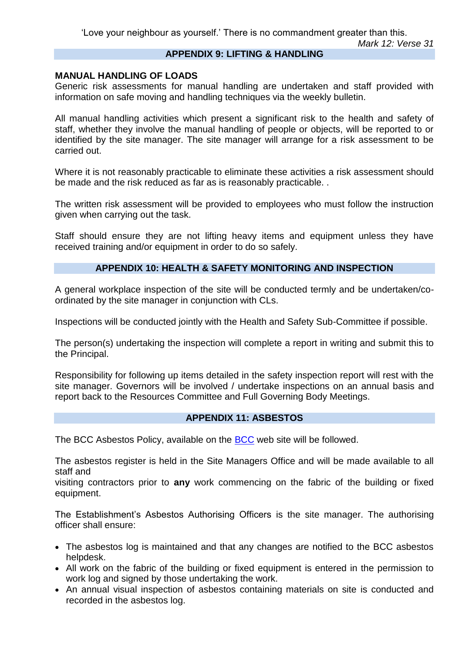## **APPENDIX 9: LIFTING & HANDLING**

## **MANUAL HANDLING OF LOADS**

Generic risk assessments for manual handling are undertaken and staff provided with information on safe moving and handling techniques via the weekly bulletin.

All manual handling activities which present a significant risk to the health and safety of staff, whether they involve the manual handling of people or objects, will be reported to or identified by the site manager. The site manager will arrange for a risk assessment to be carried out.

Where it is not reasonably practicable to eliminate these activities a risk assessment should be made and the risk reduced as far as is reasonably practicable. .

The written risk assessment will be provided to employees who must follow the instruction given when carrying out the task.

Staff should ensure they are not lifting heavy items and equipment unless they have received training and/or equipment in order to do so safely.

#### **APPENDIX 10: HEALTH & SAFETY MONITORING AND INSPECTION**

A general workplace inspection of the site will be conducted termly and be undertaken/coordinated by the site manager in conjunction with CLs.

Inspections will be conducted jointly with the Health and Safety Sub-Committee if possible.

The person(s) undertaking the inspection will complete a report in writing and submit this to the Principal.

Responsibility for following up items detailed in the safety inspection report will rest with the site manager. Governors will be involved / undertake inspections on an annual basis and report back to the Resources Committee and Full Governing Body Meetings.

## **APPENDIX 11: ASBESTOS**

The BCC Asbestos Policy, available on the [BCC](https://www.bedford.gov.uk/system_pages/search.aspx?terms=asbestos) web site will be followed.

The asbestos register is held in the Site Managers Office and will be made available to all staff and

visiting contractors prior to **any** work commencing on the fabric of the building or fixed equipment.

The Establishment's Asbestos Authorising Officers is the site manager. The authorising officer shall ensure:

- The asbestos log is maintained and that any changes are notified to the BCC asbestos helpdesk.
- All work on the fabric of the building or fixed equipment is entered in the permission to work log and signed by those undertaking the work.
- An annual visual inspection of asbestos containing materials on site is conducted and recorded in the asbestos log.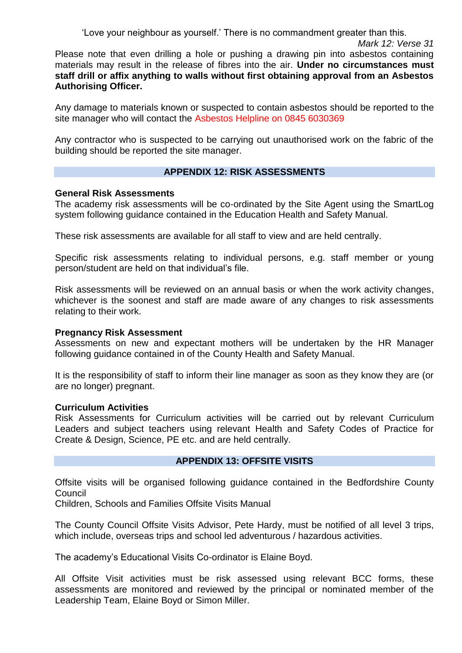Please note that even drilling a hole or pushing a drawing pin into asbestos containing materials may result in the release of fibres into the air. **Under no circumstances must staff drill or affix anything to walls without first obtaining approval from an Asbestos Authorising Officer.** 

Any damage to materials known or suspected to contain asbestos should be reported to the site manager who will contact the Asbestos Helpline on 0845 6030369

Any contractor who is suspected to be carrying out unauthorised work on the fabric of the building should be reported the site manager.

# **APPENDIX 12: RISK ASSESSMENTS**

#### **General Risk Assessments**

The academy risk assessments will be co-ordinated by the Site Agent using the SmartLog system following guidance contained in the Education Health and Safety Manual.

These risk assessments are available for all staff to view and are held centrally.

Specific risk assessments relating to individual persons, e.g. staff member or young person/student are held on that individual's file.

Risk assessments will be reviewed on an annual basis or when the work activity changes, whichever is the soonest and staff are made aware of any changes to risk assessments relating to their work.

## **Pregnancy Risk Assessment**

Assessments on new and expectant mothers will be undertaken by the HR Manager following guidance contained in of the County Health and Safety Manual.

It is the responsibility of staff to inform their line manager as soon as they know they are (or are no longer) pregnant.

#### **Curriculum Activities**

Risk Assessments for Curriculum activities will be carried out by relevant Curriculum Leaders and subject teachers using relevant Health and Safety Codes of Practice for Create & Design, Science, PE etc. and are held centrally.

## **APPENDIX 13: OFFSITE VISITS**

Offsite visits will be organised following guidance contained in the Bedfordshire County Council

Children, Schools and Families Offsite Visits Manual

The County Council Offsite Visits Advisor, Pete Hardy, must be notified of all level 3 trips, which include, overseas trips and school led adventurous / hazardous activities.

The academy's Educational Visits Co-ordinator is Elaine Boyd.

All Offsite Visit activities must be risk assessed using relevant BCC forms, these assessments are monitored and reviewed by the principal or nominated member of the Leadership Team, Elaine Boyd or Simon Miller.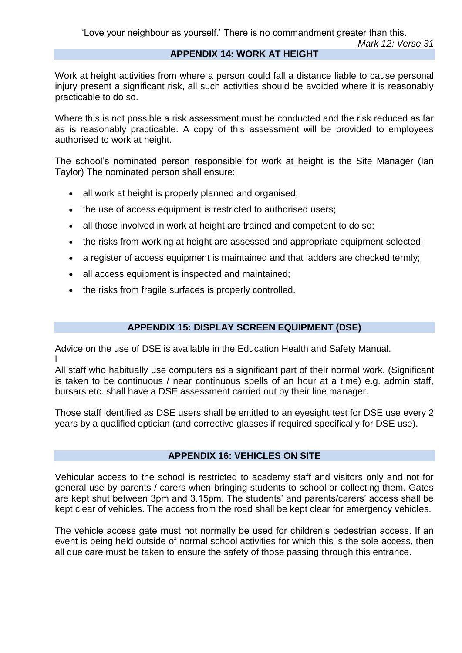## **APPENDIX 14: WORK AT HEIGHT**

Work at height activities from where a person could fall a distance liable to cause personal injury present a significant risk, all such activities should be avoided where it is reasonably practicable to do so.

Where this is not possible a risk assessment must be conducted and the risk reduced as far as is reasonably practicable. A copy of this assessment will be provided to employees authorised to work at height.

The school's nominated person responsible for work at height is the Site Manager (Ian Taylor) The nominated person shall ensure:

- all work at height is properly planned and organised;
- the use of access equipment is restricted to authorised users;
- all those involved in work at height are trained and competent to do so;
- the risks from working at height are assessed and appropriate equipment selected;
- a register of access equipment is maintained and that ladders are checked termly;
- all access equipment is inspected and maintained;
- the risks from fragile surfaces is properly controlled.

## **APPENDIX 15: DISPLAY SCREEN EQUIPMENT (DSE)**

Advice on the use of DSE is available in the Education Health and Safety Manual. l

All staff who habitually use computers as a significant part of their normal work. (Significant is taken to be continuous / near continuous spells of an hour at a time) e.g. admin staff, bursars etc. shall have a DSE assessment carried out by their line manager.

Those staff identified as DSE users shall be entitled to an eyesight test for DSE use every 2 years by a qualified optician (and corrective glasses if required specifically for DSE use).

## **APPENDIX 16: VEHICLES ON SITE**

Vehicular access to the school is restricted to academy staff and visitors only and not for general use by parents / carers when bringing students to school or collecting them. Gates are kept shut between 3pm and 3.15pm. The students' and parents/carers' access shall be kept clear of vehicles. The access from the road shall be kept clear for emergency vehicles.

The vehicle access gate must not normally be used for children's pedestrian access. If an event is being held outside of normal school activities for which this is the sole access, then all due care must be taken to ensure the safety of those passing through this entrance.